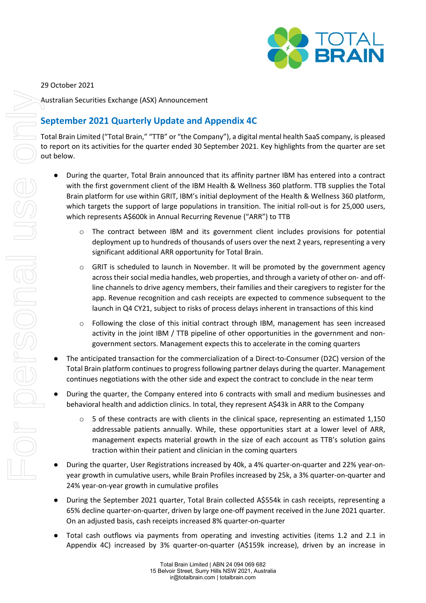

### 29 October 2021

Australian Securities Exchange (ASX) Announcement

## **September 2021 Quarterly Update and Appendix 4C**

Total Brain Limited ("Total Brain," "TTB" or "the Company"), a digital mental health SaaS company, is pleased to report on its activities for the quarter ended 30 September 2021. Key highlights from the quarter are set out below.

- During the quarter, Total Brain announced that its affinity partner IBM has entered into a contract with the first government client of the IBM Health & Wellness 360 platform. TTB supplies the Total Brain platform for use within GRIT, IBM's initial deployment of the Health & Wellness 360 platform, which targets the support of large populations in transition. The initial roll-out is for 25,000 users, which represents A\$600k in Annual Recurring Revenue ("ARR") to TTB
	- $\circ$  The contract between IBM and its government client includes provisions for potential deployment up to hundreds of thousands of users over the next 2 years, representing a very significant additional ARR opportunity for Total Brain.
	- $\circ$  GRIT is scheduled to launch in November. It will be promoted by the government agency across their social media handles, web properties, and through a variety of other on- and offline channels to drive agency members, their families and their caregivers to register for the app. Revenue recognition and cash receipts are expected to commence subsequent to the launch in Q4 CY21, subject to risks of process delays inherent in transactions of this kind
	- $\circ$  Following the close of this initial contract through IBM, management has seen increased activity in the joint IBM / TTB pipeline of other opportunities in the government and nongovernment sectors. Management expects this to accelerate in the coming quarters
- The anticipated transaction for the commercialization of a Direct-to-Consumer (D2C) version of the Total Brain platform continues to progress following partner delays during the quarter. Management continues negotiations with the other side and expect the contract to conclude in the near term
- During the quarter, the Company entered into 6 contracts with small and medium businesses and behavioral health and addiction clinics. In total, they represent A\$43k in ARR to the Company
	- $\circ$  5 of these contracts are with clients in the clinical space, representing an estimated 1,150 addressable patients annually. While, these opportunities start at a lower level of ARR, management expects material growth in the size of each account as TTB's solution gains traction within their patient and clinician in the coming quarters
- During the quarter, User Registrations increased by 40k, a 4% quarter-on-quarter and 22% year-onyear growth in cumulative users, while Brain Profiles increased by 25k, a 3% quarter-on-quarter and 24% year-on-year growth in cumulative profiles
- During the September 2021 quarter, Total Brain collected A\$554k in cash receipts, representing a 65% decline quarter-on-quarter, driven by large one-off payment received in the June 2021 quarter. On an adjusted basis, cash receipts increased 8% quarter-on-quarter
- Total cash outflows via payments from operating and investing activities (items 1.2 and 2.1 in Appendix 4C) increased by 3% quarter-on-quarter (A\$159k increase), driven by an increase in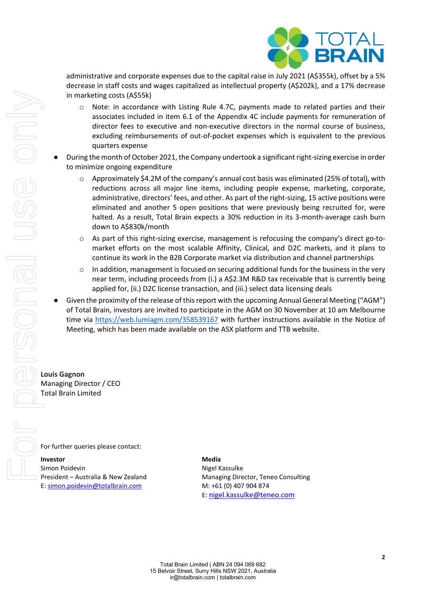

administrative and corporate expenses due to the capital raise in July 2021 (A\$355k), offset by a 5% decrease in staff costs and wages capitalized as intellectual property (A\$202k), and a 17% decrease in marketing costs (A\$55k)

- o Note: in accordance with Listing Rule 4.7C, payments made to related parties and their associates included in item 6.1 of the Appendix 4C include payments for remuneration of director fees to executive and non-executive directors in the normal course of business, excluding reimbursements of out-of-pocket expenses which is equivalent to the previous quarters expense
- During the month of October 2021, the Company undertook a significant right-sizing exercise in order to minimize ongoing expenditure
	- Approximately \$4.2M of the company's annual cost basis was eliminated (25% of total), with reductions across all major line items, including people expense, marketing, corporate, administrative, directors' fees, and other. As part of the right-sizing, 15 active positions were eliminated and another 5 open positions that were previously being recruited for, were halted. As a result, Total Brain expects a 30% reduction in its 3-month-average cash burn down to A\$830k/month
	- As part of this right-sizing exercise, management is refocusing the company's direct go-tomarket efforts on the most scalable Affinity, Clinical, and D2C markets, and it plans to continue its work in the B2B Corporate market via distribution and channel partnerships
	- $\circ$  In addition, management is focused on securing additional funds for the business in the very near term, including proceeds from (i.) a A\$2.3M R&D tax receivable that is currently being applied for, (ii.) D2C license transaction, and (iii.) select data licensing deals
- Given the proximity of the release of this report with the upcoming Annual General Meeting ("AGM") of Total Brain, investors are invited to participate in the AGM on 30 November at 10 am Melbourne time via<https://web.lumiagm.com/358539167> with further instructions available in the [Notice of](https://kye5t1jymxdseiry36l9xvpx-wpengine.netdna-ssl.com/wp-content/uploads/2020/10/TTB-2020-AGM-Notice-of-Meeting-Proxy-Form.pdf)  [Meeting,](https://kye5t1jymxdseiry36l9xvpx-wpengine.netdna-ssl.com/wp-content/uploads/2020/10/TTB-2020-AGM-Notice-of-Meeting-Proxy-Form.pdf) which has been made available on the ASX platform and TTB website.

**Louis Gagnon** Managing Director / CEO Total Brain Limited

For further queries please contact:

**Investor**  Simon Poidevin President – Australia & New Zealand E[: simon.poidevin@totalbrain.com](mailto:simon.poidevin@totalbrain.com)

**Media**  Nigel Kassulke Managing Director, Teneo Consulting M: +61 (0) 407 904 874 E: [nigel.kassulke@teneo.com](mailto:nigel.kassulke@teneo.com)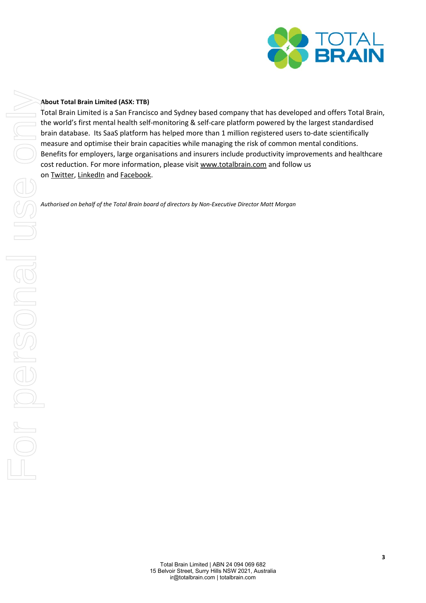

### **About Total Brain Limited (ASX: TTB)**

Total Brain Limited is a San Francisco and Sydney based company that has developed and offers Total Brain, the world's first mental health self-monitoring & self-care platform powered by the largest standardised brain database. Its SaaS platform has helped more than 1 million registered users to-date scientifically measure and optimise their brain capacities while managing the risk of common mental conditions. Benefits for employers, large organisations and insurers include productivity improvements and healthcare cost reduction. For more information, please visit [www.totalbrain.com](http://www.totalbrain.com/) and follow us on [Twitter,](https://twitter.com/totalbraininc) [LinkedIn](https://www.linkedin.com/company/totalbrain/) and [Facebook.](https://www.facebook.com/totalbraininc/) **About Total Brain Limited (ASK: TTB)**<br>
Total Brain Limited is a San Franctico and Sydney based company that has devel-<br>
the world's first mental health self-monthoring & self-care platform powered by<br>
the and debited the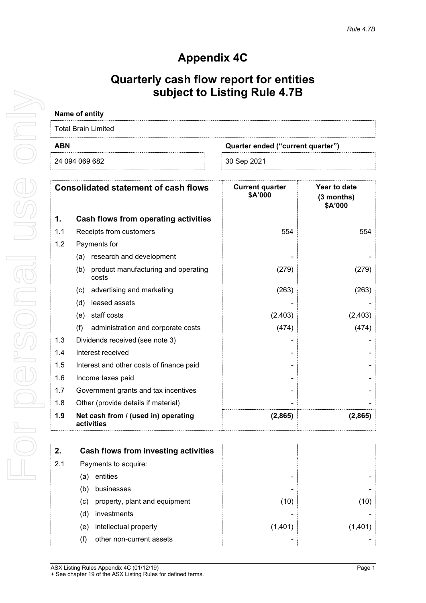## **Appendix 4C**

## **Quarterly cash flow report for entities subject to Listing Rule 4.7B**

# **Name of entity**

| Total Brain Limited |                                   |  |
|---------------------|-----------------------------------|--|
| <b>ABN</b>          | Quarter ended ("current quarter") |  |
| 24 094 069 682      | 30 Sep 2021                       |  |

|     | <b>Consolidated statement of cash flows</b>         | <b>Current quarter</b><br>\$A'000 | Year to date<br>$(3$ months)<br>\$A'000 |
|-----|-----------------------------------------------------|-----------------------------------|-----------------------------------------|
| 1.  | Cash flows from operating activities                |                                   |                                         |
| 1.1 | Receipts from customers                             | 554                               | 554                                     |
| 1.2 | Payments for                                        |                                   |                                         |
|     | research and development<br>(a)                     |                                   |                                         |
|     | (b)<br>product manufacturing and operating<br>costs | (279)                             | (279)                                   |
|     | advertising and marketing<br>(c)                    | (263)                             | (263)                                   |
|     | leased assets<br>(d)                                |                                   |                                         |
|     | staff costs<br>(e)                                  | (2,403)                           | (2, 403)                                |
|     | (f)<br>administration and corporate costs           | (474)                             | (474)                                   |
| 1.3 | Dividends received (see note 3)                     |                                   |                                         |
| 1.4 | Interest received                                   |                                   |                                         |
| 1.5 | Interest and other costs of finance paid            |                                   |                                         |
| 1.6 | Income taxes paid                                   |                                   |                                         |
| 1.7 | Government grants and tax incentives                |                                   |                                         |
| 1.8 | Other (provide details if material)                 |                                   |                                         |
| 1.9 | Net cash from / (used in) operating<br>activities   | (2,865)                           | (2,865)                                 |

| 2.  | Cash flows from investing activities |         |  |
|-----|--------------------------------------|---------|--|
| 2.1 | Payments to acquire:                 |         |  |
|     | entities<br>a)                       |         |  |
|     | businesses<br>b.                     |         |  |
|     | property, plant and equipment<br>(C) | (10)    |  |
|     | investments<br>(d                    |         |  |
|     | intellectual property<br>(e)         | (1,401) |  |
|     | other non-current assets<br>T)       |         |  |

For personal use only USS Only For personal

> ASX Listing Rules Appendix 4C (01/12/19) Page 1 + See chapter 19 of the ASX Listing Rules for defined terms.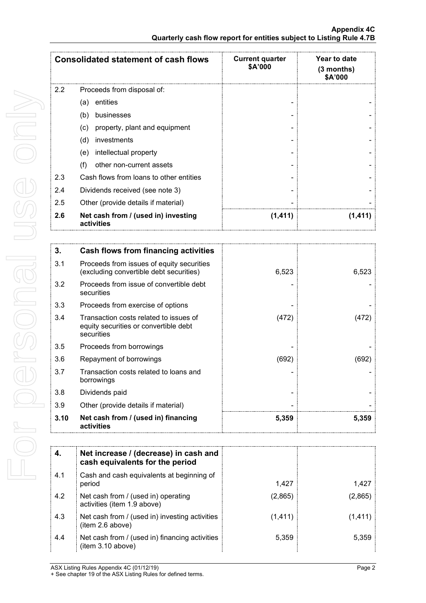|     | <b>Consolidated statement of cash flows</b>       | <b>Current quarter</b><br>\$A'000 | Year to date<br>(3 months)<br>\$A'000 |
|-----|---------------------------------------------------|-----------------------------------|---------------------------------------|
| 2.2 | Proceeds from disposal of:                        |                                   |                                       |
|     | entities<br>(a)                                   |                                   |                                       |
|     | (b)<br>businesses                                 |                                   |                                       |
|     | property, plant and equipment<br>(c)              |                                   |                                       |
|     | (d)<br>investments                                |                                   |                                       |
|     | intellectual property<br>(e)                      |                                   |                                       |
|     | other non-current assets<br>(f)                   |                                   |                                       |
| 2.3 | Cash flows from loans to other entities           |                                   |                                       |
| 2.4 | Dividends received (see note 3)                   |                                   |                                       |
| 2.5 | Other (provide details if material)               |                                   |                                       |
| 2.6 | Net cash from / (used in) investing<br>activities | (1, 411)                          | (1.411                                |

| 3.   | Cash flows from financing activities                                                          |       |       |
|------|-----------------------------------------------------------------------------------------------|-------|-------|
| 3.1  | Proceeds from issues of equity securities<br>(excluding convertible debt securities)          | 6,523 | 6,523 |
| 3.2  | Proceeds from issue of convertible debt<br>securities                                         |       |       |
| 3.3  | Proceeds from exercise of options                                                             |       |       |
| 3.4  | Transaction costs related to issues of<br>equity securities or convertible debt<br>securities | (472) | (472) |
| 3.5  | Proceeds from borrowings                                                                      |       |       |
| 3.6  | Repayment of borrowings                                                                       | (692) | (692) |
| 3.7  | Transaction costs related to loans and<br>borrowings                                          |       |       |
| 3.8  | Dividends paid                                                                                |       |       |
| 3.9  | Other (provide details if material)                                                           |       |       |
| 3.10 | Net cash from / (used in) financing<br>activities                                             | 5,359 | 5,359 |

| 4.  | Net increase / (decrease) in cash and<br>cash equivalents for the period |          |         |
|-----|--------------------------------------------------------------------------|----------|---------|
| 4.1 | Cash and cash equivalents at beginning of<br>period                      | 1.427    | 1.427   |
| 4.2 | Net cash from / (used in) operating<br>activities (item 1.9 above)       | (2,865)  | (2,865) |
| 4.3 | Net cash from / (used in) investing activities<br>(item 2.6 above)       | (1, 411) | (1.411  |
| 4.4 | Net cash from / (used in) financing activities<br>(item 3.10 above)      | 5,359    | 5.359   |

ASX Listing Rules Appendix 4C (01/12/19) Page 2

+ See chapter 19 of the ASX Listing Rules for defined terms.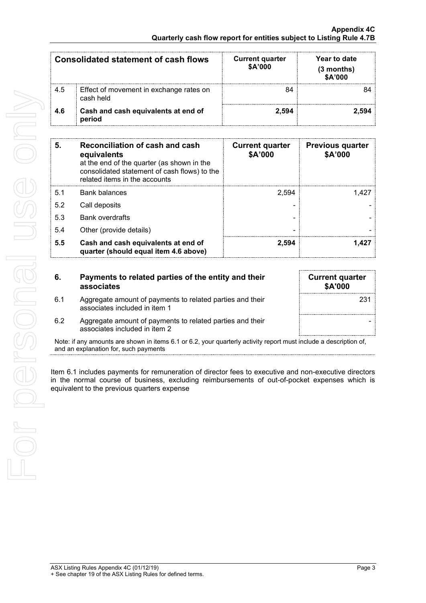|     | <b>Consolidated statement of cash flows</b>          | <b>Current quarter</b><br>\$A'000 | Year to date<br>(3 months)<br>\$A'000 |
|-----|------------------------------------------------------|-----------------------------------|---------------------------------------|
| 4.5 | Effect of movement in exchange rates on<br>cash held |                                   |                                       |
| 4.6 | Cash and cash equivalents at end of<br>period        | 2.594                             | ∕.594                                 |

| 5.  | Reconciliation of cash and cash<br>equivalents<br>at the end of the quarter (as shown in the<br>consolidated statement of cash flows) to the<br>related items in the accounts | <b>Current quarter</b><br>\$A'000 | <b>Previous quarter</b><br>\$A'000 |
|-----|-------------------------------------------------------------------------------------------------------------------------------------------------------------------------------|-----------------------------------|------------------------------------|
| 5.1 | <b>Bank balances</b>                                                                                                                                                          | 2.594                             | 1.427                              |
| 5.2 | Call deposits                                                                                                                                                                 |                                   |                                    |
| 5.3 | <b>Bank overdrafts</b>                                                                                                                                                        |                                   |                                    |
| 5.4 | Other (provide details)                                                                                                                                                       |                                   |                                    |
| 5.5 | Cash and cash equivalents at end of<br>quarter (should equal item 4.6 above)                                                                                                  | 2,594                             | 1.427                              |

| 6.  | Payments to related parties of the entity and their<br>associates                          | <b>Current quarter</b><br><b>\$A'000</b> |
|-----|--------------------------------------------------------------------------------------------|------------------------------------------|
| 6.1 | Aggregate amount of payments to related parties and their<br>associates included in item 1 | 231                                      |
| 6.2 | Aggregate amount of payments to related parties and their<br>associates included in item 2 |                                          |

Note: if any amounts are shown in items 6.1 or 6.2, your quarterly activity report must include a description of, and an explanation for, such payments

Item 6.1 includes payments for remuneration of director fees to executive and non-executive directors in the normal course of business, excluding reimbursements of out-of-pocket expenses which is equivalent to the previous quarters expense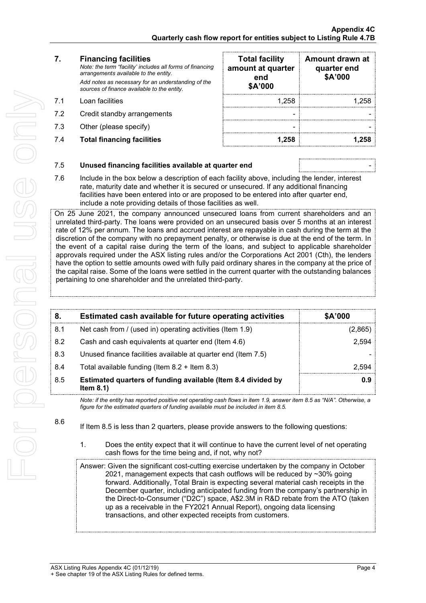For personal use only For personal use onn 8.6

### **7. Financing facilities**

*Note: the term "facility' includes all forms of financing arrangements available to the entity. Add notes as necessary for an understanding of the sources of finance available to the entity.*

- 7.1 Loan facilities
- 7.2 Credit standby arrangements
- 7.3 Other (please specify)
- 7.4 **Total financing facilities 1,258 1,258**

| <b>Total facility</b><br>amount at quarter<br>end<br>\$A'000 | Amount drawn at<br>quarter end<br>\$A'000 |
|--------------------------------------------------------------|-------------------------------------------|
| 1,258                                                        | 1,258                                     |
|                                                              |                                           |
|                                                              |                                           |
| 1,258                                                        |                                           |

### 7.5 **Unused financing facilities available at quarter end** -

7.6 Include in the box below a description of each facility above, including the lender, interest rate, maturity date and whether it is secured or unsecured. If any additional financing facilities have been entered into or are proposed to be entered into after quarter end, include a note providing details of those facilities as well.

On 25 June 2021, the company announced unsecured loans from current shareholders and an unrelated third-party. The loans were provided on an unsecured basis over 5 months at an interest rate of 12% per annum. The loans and accrued interest are repayable in cash during the term at the discretion of the company with no prepayment penalty, or otherwise is due at the end of the term. In the event of a capital raise during the term of the loans, and subject to applicable shareholder approvals required under the ASX listing rules and/or the Corporations Act 2001 (Cth), the lenders have the option to settle amounts owed with fully paid ordinary shares in the company at the price of the capital raise. Some of the loans were settled in the current quarter with the outstanding balances pertaining to one shareholder and the unrelated third-party.

| 8.  | Estimated cash available for future operating activities                     | <b>\$A'000</b> |
|-----|------------------------------------------------------------------------------|----------------|
| 8.1 | Net cash from / (used in) operating activities (Item 1.9)                    | 2,865          |
| 8.2 | Cash and cash equivalents at quarter end (Item 4.6)                          | 2.594          |
| 8.3 | Unused finance facilities available at quarter end (Item 7.5)                |                |
| 8.4 | Total available funding (Item $8.2 +$ Item $8.3$ )                           |                |
| 8.5 | Estimated quarters of funding available (Item 8.4 divided by<br>Item $8.1$ ) |                |

*Note: if the entity has reported positive net operating cash flows in item 1.9, answer item 8.5 as "N/A". Otherwise, a figure for the estimated quarters of funding available must be included in item 8.5.*

If Item 8.5 is less than 2 quarters, please provide answers to the following questions:

1. Does the entity expect that it will continue to have the current level of net operating cash flows for the time being and, if not, why not?

Answer: Given the significant cost-cutting exercise undertaken by the company in October 2021, management expects that cash outflows will be reduced by  $\sim$ 30% going forward. Additionally, Total Brain is expecting several material cash receipts in the December quarter, including anticipated funding from the company's partnership in the Direct-to-Consumer ("D2C") space, A\$2.3M in R&D rebate from the ATO (taken up as a receivable in the FY2021 Annual Report), ongoing data licensing transactions, and other expected receipts from customers.